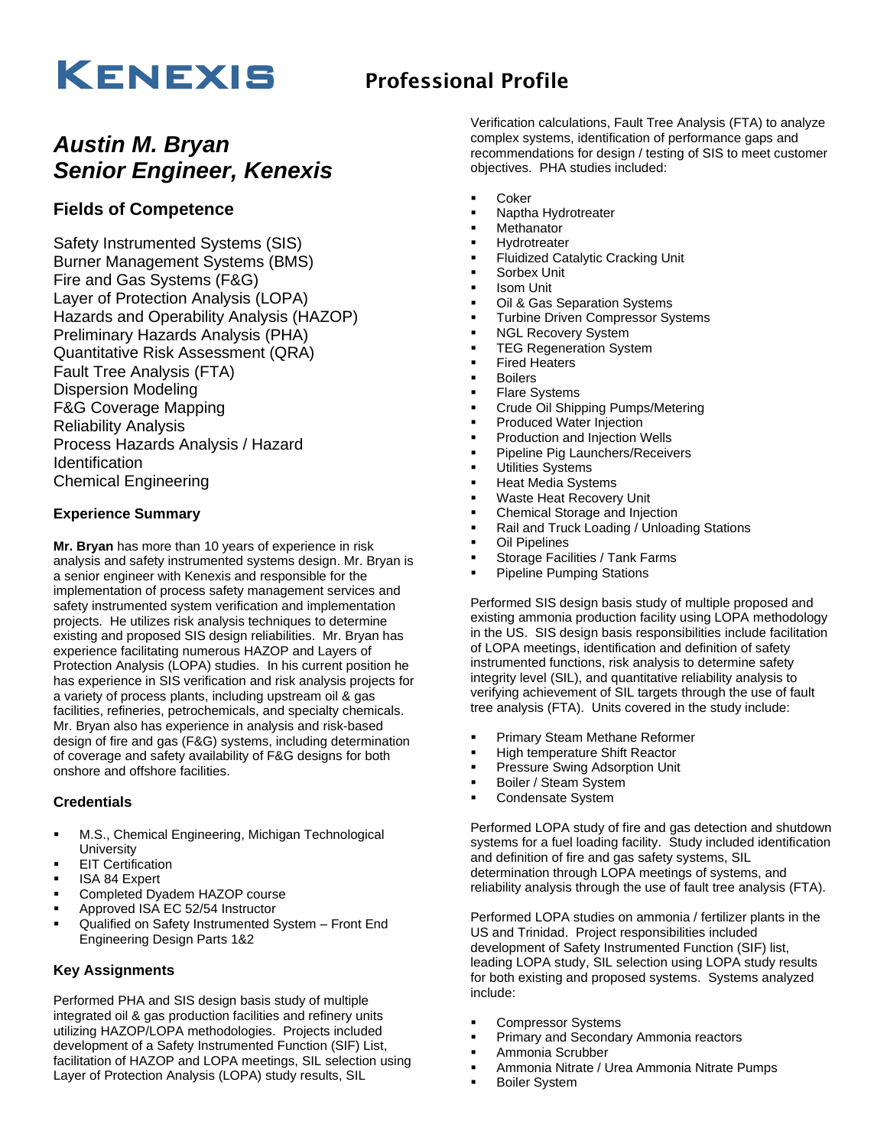# KENEXIS Professional Profile

## *Austin M. Bryan Senior Engineer, Kenexis*

### **Fields of Competence**

Safety Instrumented Systems (SIS) Burner Management Systems (BMS) Fire and Gas Systems (F&G) Layer of Protection Analysis (LOPA) Hazards and Operability Analysis (HAZOP) Preliminary Hazards Analysis (PHA) Quantitative Risk Assessment (QRA) Fault Tree Analysis (FTA) Dispersion Modeling F&G Coverage Mapping Reliability Analysis Process Hazards Analysis / Hazard **Identification** Chemical Engineering

### **Experience Summary**

**Mr. Bryan** has more than 10 years of experience in risk analysis and safety instrumented systems design. Mr. Bryan is a senior engineer with Kenexis and responsible for the implementation of process safety management services and safety instrumented system verification and implementation projects. He utilizes risk analysis techniques to determine existing and proposed SIS design reliabilities. Mr. Bryan has experience facilitating numerous HAZOP and Layers of Protection Analysis (LOPA) studies. In his current position he has experience in SIS verification and risk analysis projects for a variety of process plants, including upstream oil & gas facilities, refineries, petrochemicals, and specialty chemicals. Mr. Bryan also has experience in analysis and risk-based design of fire and gas (F&G) systems, including determination of coverage and safety availability of F&G designs for both onshore and offshore facilities.

#### **Credentials**

- M.S., Chemical Engineering, Michigan Technological **University**
- **EIT Certification**
- **ISA 84 Expert**
- Completed Dyadem HAZOP course
- Approved ISA EC 52/54 Instructor
- Qualified on Safety Instrumented System Front End Engineering Design Parts 1&2

#### **Key Assignments**

Performed PHA and SIS design basis study of multiple integrated oil & gas production facilities and refinery units utilizing HAZOP/LOPA methodologies. Projects included development of a Safety Instrumented Function (SIF) List, facilitation of HAZOP and LOPA meetings, SIL selection using Layer of Protection Analysis (LOPA) study results, SIL

Verification calculations, Fault Tree Analysis (FTA) to analyze complex systems, identification of performance gaps and recommendations for design / testing of SIS to meet customer objectives. PHA studies included:

- **Coker**
- Naptha Hydrotreater
- Methanator
- **Hydrotreater**
- **Fluidized Catalytic Cracking Unit**
- Sorbex Unit
- **Isom Unit**
- Oil & Gas Separation Systems
- **Turbine Driven Compressor Systems**
- **NGL Recovery System**
- **TEG Regeneration System**
- **Fired Heaters**
- **Boilers**
- **Flare Systems**
- Crude Oil Shipping Pumps/Metering
- Produced Water Injection
- Production and Injection Wells
- Pipeline Pig Launchers/Receivers
- **Utilities Systems**
- **Heat Media Systems**
- Waste Heat Recovery Unit
- **Chemical Storage and Injection**
- Rail and Truck Loading / Unloading Stations
- **Oil Pipelines**
- Storage Facilities / Tank Farms
- **Pipeline Pumping Stations**

Performed SIS design basis study of multiple proposed and existing ammonia production facility using LOPA methodology in the US. SIS design basis responsibilities include facilitation of LOPA meetings, identification and definition of safety instrumented functions, risk analysis to determine safety integrity level (SIL), and quantitative reliability analysis to verifying achievement of SIL targets through the use of fault tree analysis (FTA). Units covered in the study include:

- **Primary Steam Methane Reformer**
- **High temperature Shift Reactor**
- Pressure Swing Adsorption Unit
- Boiler / Steam System
- Condensate System

Performed LOPA study of fire and gas detection and shutdown systems for a fuel loading facility. Study included identification and definition of fire and gas safety systems, SIL determination through LOPA meetings of systems, and reliability analysis through the use of fault tree analysis (FTA).

Performed LOPA studies on ammonia / fertilizer plants in the US and Trinidad. Project responsibilities included development of Safety Instrumented Function (SIF) list, leading LOPA study, SIL selection using LOPA study results for both existing and proposed systems. Systems analyzed include:

- Compressor Systems
- Primary and Secondary Ammonia reactors
- Ammonia Scrubber
- Ammonia Nitrate / Urea Ammonia Nitrate Pumps
- **Boiler System**